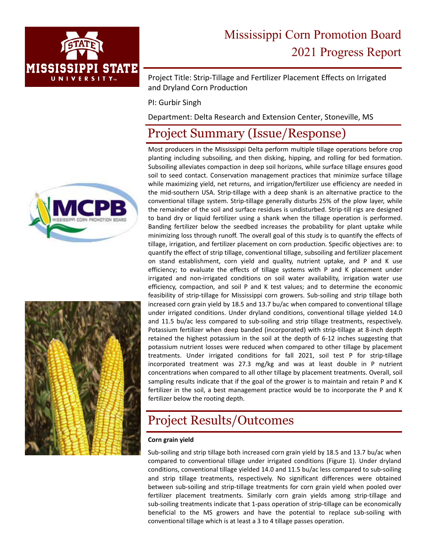

# Mississippi Corn Promotion Board 2021 Progress Report

Project Title: Strip-Tillage and Fertilizer Placement Effects on Irrigated and Dryland Corn Production

PI: Gurbir Singh

Department: Delta Research and Extension Center, Stoneville, MS

## Project Summary (Issue/Response)

Most producers in the Mississippi Delta perform multiple tillage operations before crop planting including subsoiling, and then disking, hipping, and rolling for bed formation. Subsoiling alleviates compaction in deep soil horizons, while surface tillage ensures good soil to seed contact. Conservation management practices that minimize surface tillage while maximizing yield, net returns, and irrigation/fertilizer use efficiency are needed in the mid-southern USA. Strip-tillage with a deep shank is an alternative practice to the conventional tillage system. Strip‐tillage generally disturbs 25% of the plow layer, while the remainder of the soil and surface residues is undisturbed. Strip‐till rigs are designed to band dry or liquid fertilizer using a shank when the tillage operation is performed. Banding fertilizer below the seedbed increases the probability for plant uptake while minimizing loss through runoff. The overall goal of this study is to quantify the effects of tillage, irrigation, and fertilizer placement on corn production. Specific objectives are: to quantify the effect of strip tillage, conventional tillage, subsoiling and fertilizer placement on stand establishment, corn yield and quality, nutrient uptake, and P and K use efficiency; to evaluate the effects of tillage systems with P and K placement under irrigated and non‐irrigated conditions on soil water availability, irrigation water use efficiency, compaction, and soil P and K test values; and to determine the economic feasibility of strip‐tillage for Mississippi corn growers. Sub‐soiling and strip tillage both increased corn grain yield by 18.5 and 13.7 bu/ac when compared to conventional tillage under irrigated conditions. Under dryland conditions, conventional tillage yielded 14.0 and 11.5 bu/ac less compared to sub-soiling and strip tillage treatments, respectively. Potassium fertilizer when deep banded (incorporated) with strip‐tillage at 8‐inch depth retained the highest potassium in the soil at the depth of 6‐12 inches suggesting that potassium nutrient losses were reduced when compared to other tillage by placement treatments. Under irrigated conditions for fall 2021, soil test P for strip-tillage incorporated treatment was 27.3 mg/kg and was at least double in P nutrient concentrations when compared to all other tillage by placement treatments. Overall, soil sampling results indicate that if the goal of the grower is to maintain and retain P and K fertilizer in the soil, a best management practice would be to incorporate the P and K fertilizer below the rooting depth.

## Project Results/Outcomes

#### **Corn grain yield**

Sub‐soiling and strip tillage both increased corn grain yield by 18.5 and 13.7 bu/ac when compared to conventional tillage under irrigated conditions (Figure 1). Under dryland conditions, conventional tillage yielded 14.0 and 11.5 bu/ac less compared to sub‐soiling and strip tillage treatments, respectively. No significant differences were obtained between sub‐soiling and strip‐tillage treatments for corn grain yield when pooled over fertilizer placement treatments. Similarly corn grain yields among strip‐tillage and sub-soiling treatments indicate that 1-pass operation of strip-tillage can be economically beneficial to the MS growers and have the potential to replace sub‐soiling with conventional tillage which is at least a 3 to 4 tillage passes operation.



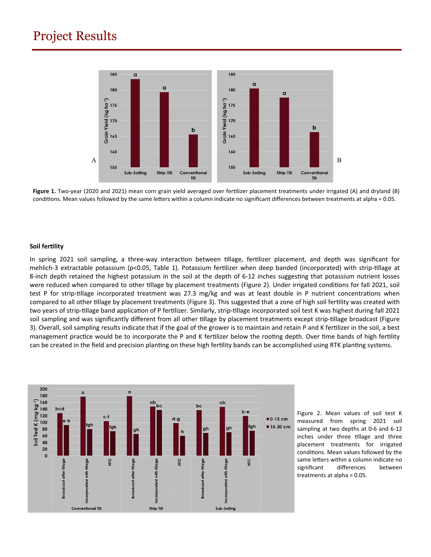### Project Results



Figure 1. Two-year (2020 and 2021) mean corn grain yield averaged over fertilizer placement treatments under irrigated (A) and dryland (B) conditions. Mean values followed by the same letters within a column indicate no significant differences between treatments at alpha = 0.05.

#### **Soil ferƟlity**

In spring 2021 soil sampling, a three-way interaction between tillage, fertilizer placement, and depth was significant for mehlich-3 extractable potassium (p<0.05, Table 1). Potassium fertilizer when deep banded (incorporated) with strip-tillage at 8-inch depth retained the highest potassium in the soil at the depth of 6-12 inches suggesting that potassium nutrient losses were reduced when compared to other tillage by placement treatments (Figure 2). Under irrigated conditions for fall 2021, soil test P for strip-tillage incorporated treatment was 27.3 mg/kg and was at least double in P nutrient concentrations when compared to all other tillage by placement treatments (Figure 3). This suggested that a zone of high soil fertility was created with two years of strip-tillage band application of P fertilizer. Similarly, strip-tillage incorporated soil test K was highest during fall 2021 soil sampling and was significantly different from all other tillage by placement treatments except strip-tillage broadcast (Figure 3). Overall, soil sampling results indicate that if the goal of the grower is to maintain and retain P and K fertilizer in the soil, a best management practice would be to incorporate the P and K fertilizer below the rooting depth. Over time bands of high fertility can be created in the field and precision planting on these high fertility bands can be accomplished using RTK planting systems.



Figure 2. Mean values of soil test K measured from spring 2021 soil sampling at two depths at 0‐6 and 6‐12 inches under three tillage and three placement treatments for irrigated conditions. Mean values followed by the same letters within a column indicate no significant differences between treatments at alpha = 0.05.